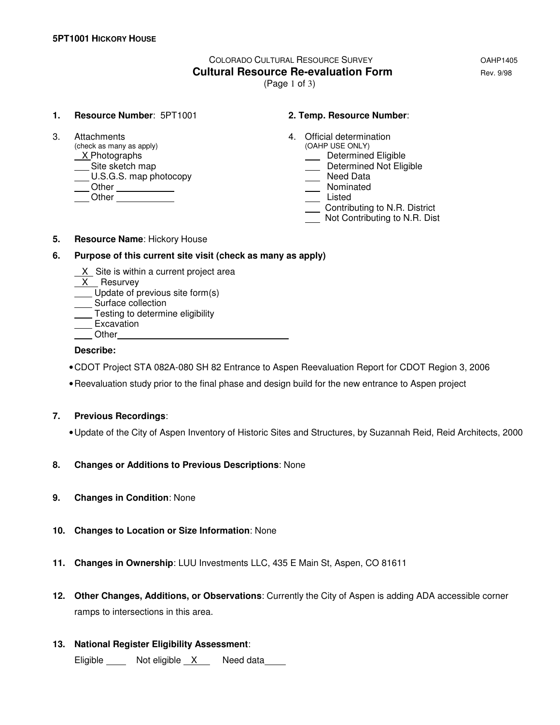# COLORADO CULTURAL RESOURCE SURVEY OAHP1405 **Cultural Resource Re-evaluation Form Equation Rev. 9/98**

(Page 1 of 3)

#### **1. Resource Number**: 5PT1001 **2. Temp. Resource Number**:

(check as many as apply)  $X$ Photographs Site sketch map<br>
U.S.G.S. map photocopy **Determined Not Eligible**<br>
Determined Not Eligible<br>
Need Data  $\underline{\hspace{1cm}}$  U.S.G.S. map photocopy Other Nominated Listed Chern Chern Chern Chern Chern Chern Chern Chern Chern Chern Chern Chern Chern Chern Chern Chern Chern Chern Chern Chern Chern Chern Chern Chern Chern Chern Chern Chern Chern Chern Chern Chern Chern Chern Chern Chern

- 3. Attachments 4. Official determination<br>
(check as many as apply) (OAHP USE ONLY)
	- **Manuel Eligible**
	-
	-
	-
	-
	- Contributing to N.R. District
	- Not Contributing to N.R. Dist

#### **5. Resource Name**: Hickory House

#### **6. Purpose of this current site visit (check as many as apply)**

- X Site is within a current project area
- X Resurvey
- Update of previous site form(s)
- Surface collection
- **Testing to determine eligibility** <u>Lesmis</u><br>Excavation
- 
- **Other**

#### **Describe:**

- CDOT Project STA 082A-080 SH 82 Entrance to Aspen Reevaluation Report for CDOT Region 3, 2006
- Reevaluation study prior to the final phase and design build for the new entrance to Aspen project

### **7. Previous Recordings**:

- Update of the City of Aspen Inventory of Historic Sites and Structures, by Suzannah Reid, Reid Architects, 2000
- **8. Changes or Additions to Previous Descriptions**: None
- **9. Changes in Condition**: None
- **10. Changes to Location or Size Information**: None
- **11. Changes in Ownership**: LUU Investments LLC, 435 E Main St, Aspen, CO 81611
- **12. Other Changes, Additions, or Observations**: Currently the City of Aspen is adding ADA accessible corner ramps to intersections in this area.
- **13. National Register Eligibility Assessment**:

Eligible Not eligible X Need data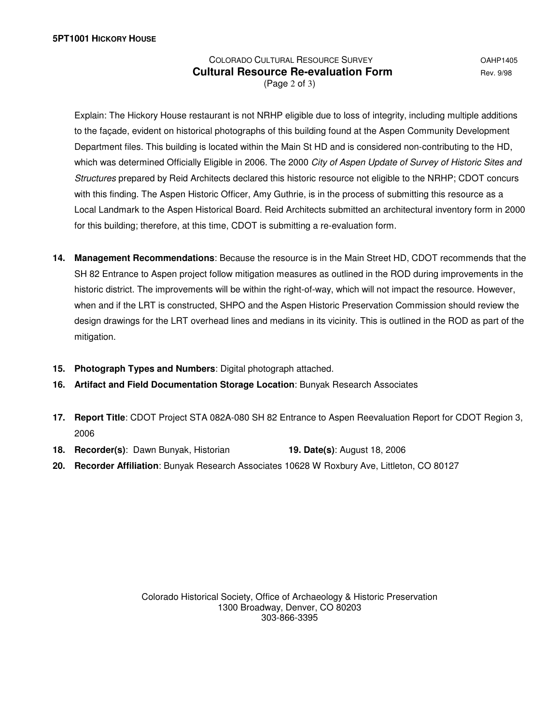## COLORADO CULTURAL RESOURCE SURVEY **COLORADO COLORADO Cultural Resource Re-evaluation Form Equilibrity Rev. 9/98** (Page 2 of 3)

 Explain: The Hickory House restaurant is not NRHP eligible due to loss of integrity, including multiple additions to the façade, evident on historical photographs of this building found at the Aspen Community Development Department files. This building is located within the Main St HD and is considered non-contributing to the HD, which was determined Officially Eligible in 2006. The 2000 City of Aspen Update of Survey of Historic Sites and Structures prepared by Reid Architects declared this historic resource not eligible to the NRHP; CDOT concurs with this finding. The Aspen Historic Officer, Amy Guthrie, is in the process of submitting this resource as a Local Landmark to the Aspen Historical Board. Reid Architects submitted an architectural inventory form in 2000 for this building; therefore, at this time, CDOT is submitting a re-evaluation form.

- **14. Management Recommendations**: Because the resource is in the Main Street HD, CDOT recommends that the SH 82 Entrance to Aspen project follow mitigation measures as outlined in the ROD during improvements in the historic district. The improvements will be within the right-of-way, which will not impact the resource. However, when and if the LRT is constructed, SHPO and the Aspen Historic Preservation Commission should review the design drawings for the LRT overhead lines and medians in its vicinity. This is outlined in the ROD as part of the mitigation.
- **15. Photograph Types and Numbers**: Digital photograph attached.
- **16. Artifact and Field Documentation Storage Location**: Bunyak Research Associates
- **17. Report Title**: CDOT Project STA 082A-080 SH 82 Entrance to Aspen Reevaluation Report for CDOT Region 3, 2006
- **18. Recorder(s)**: Dawn Bunyak, Historian **19. Date(s)**: August 18, 2006
- **20. Recorder Affiliation**: Bunyak Research Associates 10628 W Roxbury Ave, Littleton, CO 80127

Colorado Historical Society, Office of Archaeology & Historic Preservation 1300 Broadway, Denver, CO 80203 303-866-3395